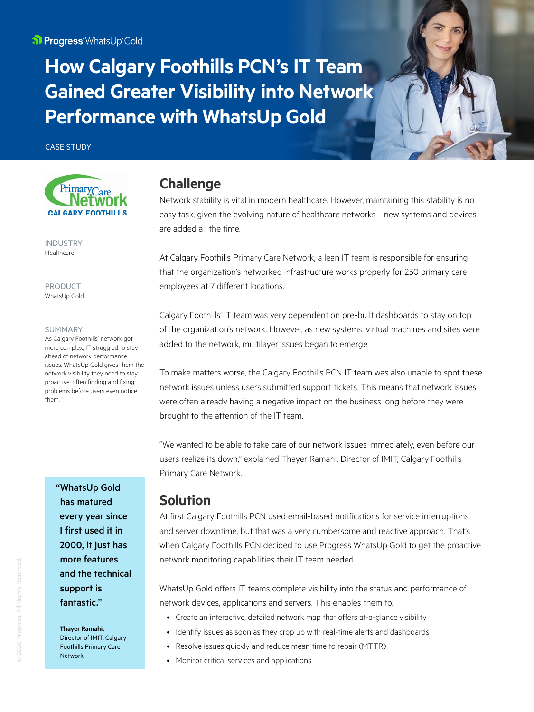**How Calgary Foothills PCN's IT Team Gained Greater Visibility into Network Performance with WhatsUp Gold** 

CASE STUDY



INDUSTRY Healthcare

PRODUCT WhatsUp Gold

### SUMMARY

As Calgary Foothills' network got more complex, IT struggled to stay ahead of network performance issues. WhatsUp Gold gives them the network visibility they need to stay proactive, often finding and fixing problems before users even notice them.

> "WhatsUp Gold has matured every year since I first used it in 2000, it just has more features and the technical support is fantastic."

**Thayer Ramahi,** 

Director of IMIT, Calgary Foothills Primary Care Network

# **Challenge**

Network stability is vital in modern healthcare. However, maintaining this stability is no easy task, given the evolving nature of healthcare networks—new systems and devices are added all the time.

At Calgary Foothills Primary Care Network, a lean IT team is responsible for ensuring that the organization's networked infrastructure works properly for 250 primary care employees at 7 different locations.

Calgary Foothills' IT team was very dependent on pre-built dashboards to stay on top of the organization's network. However, as new systems, virtual machines and sites were added to the network, multilayer issues began to emerge.

To make matters worse, the Calgary Foothills PCN IT team was also unable to spot these network issues unless users submitted support tickets. This means that network issues were often already having a negative impact on the business long before they were brought to the attention of the IT team.

"We wanted to be able to take care of our network issues immediately, even before our users realize its down," explained Thayer Ramahi, Director of IMIT, Calgary Foothills Primary Care Network.

## **Solution**

At first Calgary Foothills PCN used email-based notifications for service interruptions and server downtime, but that was a very cumbersome and reactive approach. That's when Calgary Foothills PCN decided to use Progress WhatsUp Gold to get the proactive network monitoring capabilities their IT team needed.

WhatsUp Gold offers IT teams complete visibility into the status and performance of network devices, applications and servers. This enables them to:

- Create an interactive, detailed network map that offers at-a-glance visibility
- Identify issues as soon as they crop up with real-time alerts and dashboards
- Resolve issues quickly and reduce mean time to repair (MTTR)
- Monitor critical services and applications